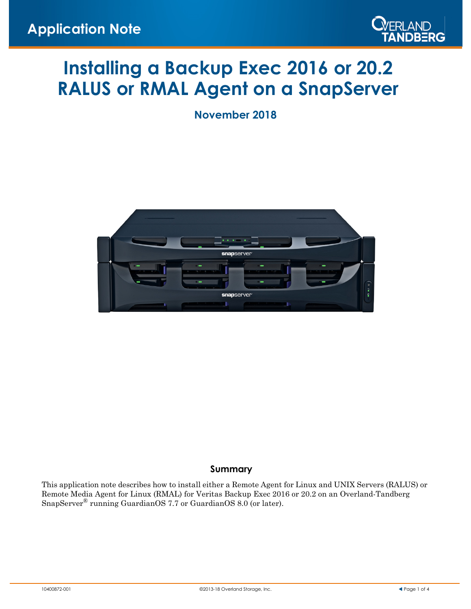

# **Installing a Backup Exec 2016 or 20.2 RALUS or RMAL Agent on a SnapServer**

**November 2018**



## **Summary**

This application note describes how to install either a Remote Agent for Linux and UNIX Servers (RALUS) or Remote Media Agent for Linux (RMAL) for Veritas Backup Exec 2016 or 20.2 on an Overland-Tandberg SnapServer® running GuardianOS 7.7 or GuardianOS 8.0 (or later).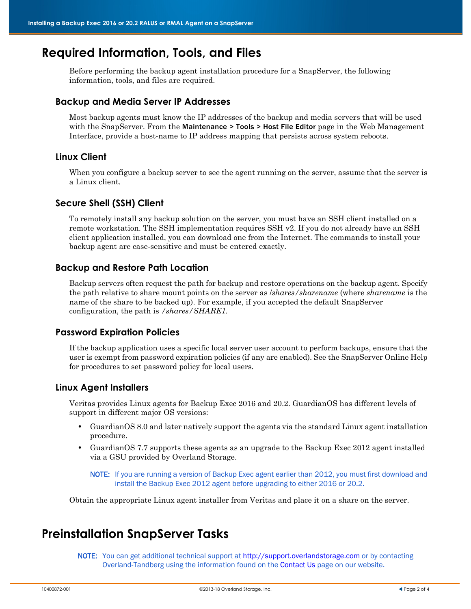# **Required Information, Tools, and Files**

Before performing the backup agent installation procedure for a SnapServer, the following information, tools, and files are required.

### **Backup and Media Server IP Addresses**

Most backup agents must know the IP addresses of the backup and media servers that will be used with the SnapServer. From the Maintenance > Tools > Host File Editor page in the Web Management Interface, provide a host-name to IP address mapping that persists across system reboots.

### **Linux Client**

When you configure a backup server to see the agent running on the server, assume that the server is a Linux client.

### **Secure Shell (SSH) Client**

To remotely install any backup solution on the server, you must have an SSH client installed on a remote workstation. The SSH implementation requires SSH v2. If you do not already have an SSH client application installed, you can download one from the Internet. The commands to install your backup agent are case-sensitive and must be entered exactly.

### **Backup and Restore Path Location**

Backup servers often request the path for backup and restore operations on the backup agent. Specify the path relative to share mount points on the server as /*shares/sharename* (where *sharename* is the name of the share to be backed up). For example, if you accepted the default SnapServer configuration, the path is */shares/SHARE1.*

### **Password Expiration Policies**

If the backup application uses a specific local server user account to perform backups, ensure that the user is exempt from password expiration policies (if any are enabled). See the SnapServer Online Help for procedures to set password policy for local users.

### **Linux Agent Installers**

Veritas provides Linux agents for Backup Exec 2016 and 20.2. GuardianOS has different levels of support in different major OS versions:

- **•** GuardianOS 8.0 and later natively support the agents via the standard Linux agent installation procedure.
- **•** GuardianOS 7.7 supports these agents as an upgrade to the Backup Exec 2012 agent installed via a GSU provided by Overland Storage.

NOTE: If you are running a version of Backup Exec agent earlier than 2012, you must first download and install the Backup Exec 2012 agent before upgrading to either 2016 or 20.2.

Obtain the appropriate Linux agent installer from Veritas and place it on a share on the server.

# **Preinstallation SnapServer Tasks**

NOTE: You can get additional technical support at <http://support.overlandstorage.com>or by contacting Overland-Tandberg using the information found on the [Contact Us](http://www.overlandstorage.com/company/contact-us/index.aspx) page on our website.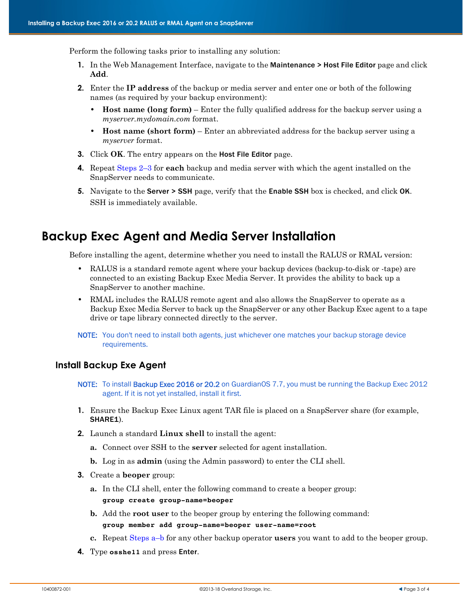Perform the following tasks prior to installing any solution:

- **1.** In the Web Management Interface, navigate to the Maintenance > Host File Editor page and click **Add**.
- **2.** Enter the **IP address** of the backup or media server and enter one or both of the following names (as required by your backup environment):
	- **• Host name (long form)** Enter the fully qualified address for the backup server using a *myserver.mydomain.com* format.
	- **• Host name (short form)** Enter an abbreviated address for the backup server using a *myserver* format.
- **3.** Click **OK**. The entry appears on the Host File Editor page.
- **4.** Repeat Steps 2–3 for **each** backup and media server with which the agent installed on the SnapServer needs to communicate.
- **5.** Navigate to the Server > SSH page, verify that the Enable SSH box is checked, and click OK. SSH is immediately available.

# **Backup Exec Agent and Media Server Installation**

Before installing the agent, determine whether you need to install the RALUS or RMAL version:

- **•** RALUS is a standard remote agent where your backup devices (backup-to-disk or -tape) are connected to an existing Backup Exec Media Server. It provides the ability to back up a SnapServer to another machine.
- **•** RMAL includes the RALUS remote agent and also allows the SnapServer to operate as a Backup Exec Media Server to back up the SnapServer or any other Backup Exec agent to a tape drive or tape library connected directly to the server.
- NOTE: You don't need to install both agents, just whichever one matches your backup storage device requirements.

### **Install Backup Exe Agent**

- NOTE: To install Backup Exec 2016 or 20.2 on GuardianOS 7.7, you must be running the Backup Exec 2012 agent. If it is not yet installed, install it first.
- **1.** Ensure the Backup Exec Linux agent TAR file is placed on a SnapServer share (for example, SHARE1).
- **2.** Launch a standard **Linux shell** to install the agent:
	- **a.** Connect over SSH to the **server** selected for agent installation.
	- **b.** Log in as **admin** (using the Admin password) to enter the CLI shell.
- **3.** Create a **beoper** group:
	- **a.** In the CLI shell, enter the following command to create a beoper group: **group create group-name=beoper**
	- **b.** Add the **root user** to the beoper group by entering the following command: **group member add group-name=beoper user-name=root**
	- **c.** Repeat Steps a–b for any other backup operator **users** you want to add to the beoper group.
- **4.** Type **osshe11** and press Enter.